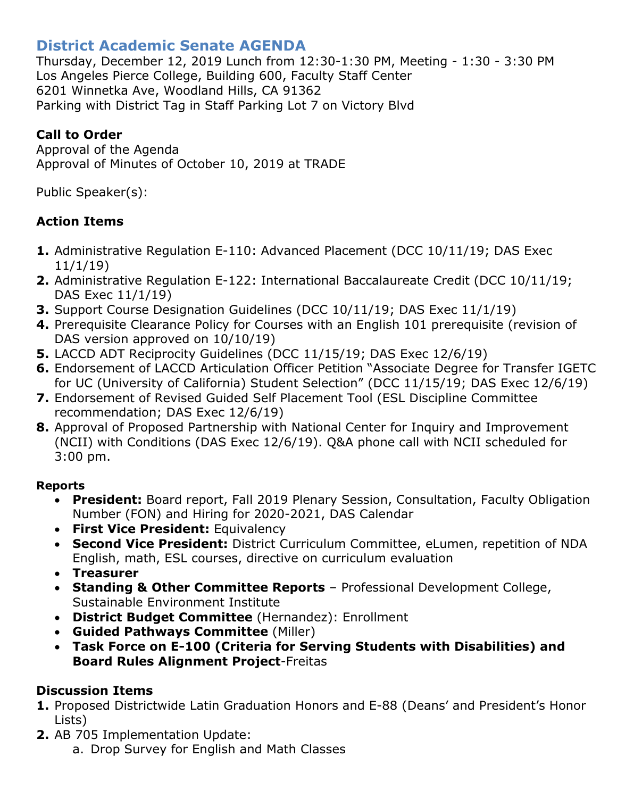# **District Academic Senate AGENDA**

Thursday, December 12, 2019 Lunch from 12:30-1:30 PM, Meeting - 1:30 - 3:30 PM Los Angeles Pierce College, Building 600, Faculty Staff Center 6201 Winnetka Ave, Woodland Hills, CA 91362 Parking with District Tag in Staff Parking Lot 7 on Victory Blvd

## **Call to Order**

Approval of the Agenda Approval of Minutes of October 10, 2019 at TRADE

Public Speaker(s):

# **Action Items**

- **1.** Administrative Regulation E-110: Advanced Placement (DCC 10/11/19; DAS Exec 11/1/19)
- **2.** Administrative Regulation E-122: International Baccalaureate Credit (DCC 10/11/19; DAS Exec 11/1/19)
- **3.** Support Course Designation Guidelines (DCC 10/11/19; DAS Exec 11/1/19)
- **4.** Prerequisite Clearance Policy for Courses with an English 101 prerequisite (revision of DAS version approved on 10/10/19)
- **5.** LACCD ADT Reciprocity Guidelines (DCC 11/15/19; DAS Exec 12/6/19)
- **6.** Endorsement of LACCD Articulation Officer Petition "Associate Degree for Transfer IGETC for UC (University of California) Student Selection" (DCC 11/15/19; DAS Exec 12/6/19)
- **7.** Endorsement of Revised Guided Self Placement Tool (ESL Discipline Committee recommendation; DAS Exec 12/6/19)
- **8.** Approval of Proposed Partnership with National Center for Inquiry and Improvement (NCII) with Conditions (DAS Exec 12/6/19). Q&A phone call with NCII scheduled for 3:00 pm.

### **Reports**

- **President:** Board report, Fall 2019 Plenary Session, Consultation, Faculty Obligation Number (FON) and Hiring for 2020-2021, DAS Calendar
- **First Vice President:** Equivalency
- **Second Vice President:** District Curriculum Committee, eLumen, repetition of NDA English, math, ESL courses, directive on curriculum evaluation
- **Treasurer**
- **Standing & Other Committee Reports** Professional Development College, Sustainable Environment Institute
- **District Budget Committee** (Hernandez): Enrollment
- **Guided Pathways Committee** (Miller)
- **Task Force on E-100 (Criteria for Serving Students with Disabilities) and Board Rules Alignment Project**-Freitas

# **Discussion Items**

- **1.** Proposed Districtwide Latin Graduation Honors and E-88 (Deans' and President's Honor Lists)
- **2.** AB 705 Implementation Update:
	- a. Drop Survey for English and Math Classes